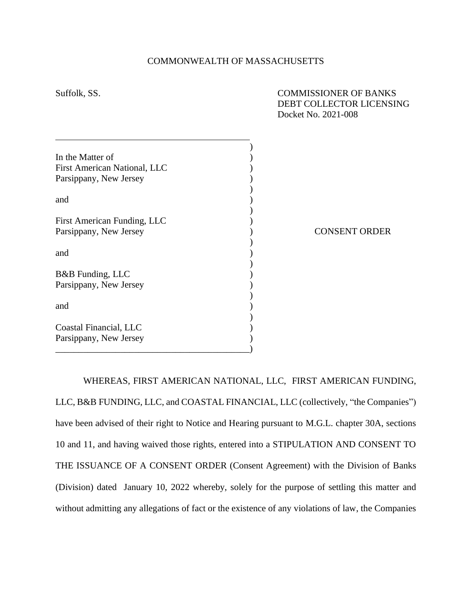| Suffolk, SS.                 | <b>COMMISSIONER OF BANKS</b><br>DEBT COLLECTOR LICENSING<br>Docket No. 2021-008 |
|------------------------------|---------------------------------------------------------------------------------|
|                              |                                                                                 |
| In the Matter of             |                                                                                 |
| First American National, LLC |                                                                                 |
| Parsippany, New Jersey       |                                                                                 |
|                              |                                                                                 |
| and                          |                                                                                 |
|                              |                                                                                 |
| First American Funding, LLC  |                                                                                 |
| Parsippany, New Jersey       | <b>CONSENT ORDER</b>                                                            |
|                              |                                                                                 |
| and                          |                                                                                 |
|                              |                                                                                 |
| B&B Funding, LLC             |                                                                                 |
| Parsippany, New Jersey       |                                                                                 |
|                              |                                                                                 |
| and                          |                                                                                 |
|                              |                                                                                 |
| Coastal Financial, LLC       |                                                                                 |
| Parsippany, New Jersey       |                                                                                 |
|                              |                                                                                 |

## COMMONWEALTH OF MASSACHUSETTS

WHEREAS, FIRST AMERICAN NATIONAL, LLC, FIRST AMERICAN FUNDING, LLC, B&B FUNDING, LLC, and COASTAL FINANCIAL, LLC (collectively, "the Companies") have been advised of their right to Notice and Hearing pursuant to M.G.L. chapter 30A, sections 10 and 11, and having waived those rights, entered into a STIPULATION AND CONSENT TO THE ISSUANCE OF A CONSENT ORDER (Consent Agreement) with the Division of Banks (Division) dated January 10, 2022 whereby, solely for the purpose of settling this matter and without admitting any allegations of fact or the existence of any violations of law, the Companies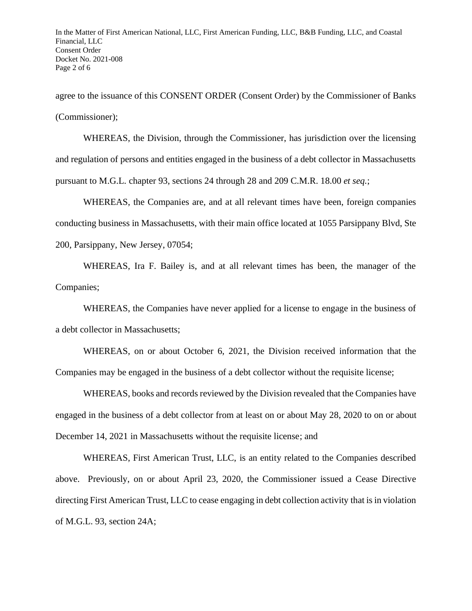agree to the issuance of this CONSENT ORDER (Consent Order) by the Commissioner of Banks (Commissioner);

WHEREAS, the Division, through the Commissioner, has jurisdiction over the licensing and regulation of persons and entities engaged in the business of a debt collector in Massachusetts pursuant to M.G.L. chapter 93, sections 24 through 28 and 209 C.M.R. 18.00 *et seq.*;

WHEREAS, the Companies are, and at all relevant times have been, foreign companies conducting business in Massachusetts, with their main office located at 1055 Parsippany Blvd, Ste 200, Parsippany, New Jersey, 07054;

WHEREAS, Ira F. Bailey is, and at all relevant times has been, the manager of the Companies;

WHEREAS, the Companies have never applied for a license to engage in the business of a debt collector in Massachusetts;

WHEREAS, on or about October 6, 2021, the Division received information that the Companies may be engaged in the business of a debt collector without the requisite license;

WHEREAS, books and records reviewed by the Division revealed that the Companies have engaged in the business of a debt collector from at least on or about May 28, 2020 to on or about December 14, 2021 in Massachusetts without the requisite license; and

WHEREAS, First American Trust, LLC, is an entity related to the Companies described above. Previously, on or about April 23, 2020, the Commissioner issued a Cease Directive directing First American Trust, LLC to cease engaging in debt collection activity that is in violation of M.G.L. 93, section 24A;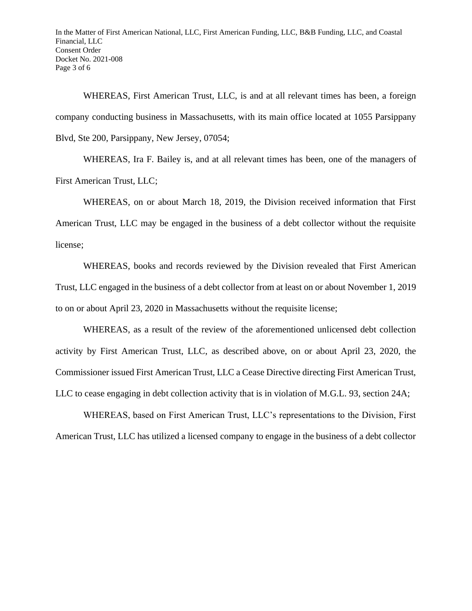WHEREAS, First American Trust, LLC, is and at all relevant times has been, a foreign company conducting business in Massachusetts, with its main office located at 1055 Parsippany Blvd, Ste 200, Parsippany, New Jersey, 07054;

WHEREAS, Ira F. Bailey is, and at all relevant times has been, one of the managers of First American Trust, LLC;

WHEREAS, on or about March 18, 2019, the Division received information that First American Trust, LLC may be engaged in the business of a debt collector without the requisite license;

WHEREAS, books and records reviewed by the Division revealed that First American Trust, LLC engaged in the business of a debt collector from at least on or about November 1, 2019 to on or about April 23, 2020 in Massachusetts without the requisite license;

WHEREAS, as a result of the review of the aforementioned unlicensed debt collection activity by First American Trust, LLC, as described above, on or about April 23, 2020, the Commissioner issued First American Trust, LLC a Cease Directive directing First American Trust, LLC to cease engaging in debt collection activity that is in violation of M.G.L. 93, section 24A;

WHEREAS, based on First American Trust, LLC's representations to the Division, First American Trust, LLC has utilized a licensed company to engage in the business of a debt collector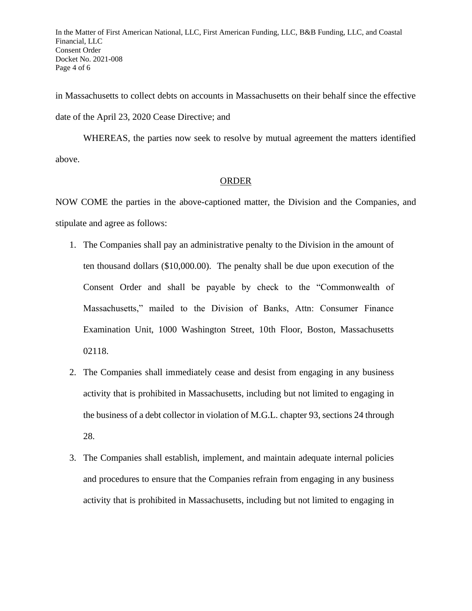In the Matter of First American National, LLC, First American Funding, LLC, B&B Funding, LLC, and Coastal Financial, LLC Consent Order Docket No. 2021-008 Page 4 of 6

in Massachusetts to collect debts on accounts in Massachusetts on their behalf since the effective date of the April 23, 2020 Cease Directive; and

WHEREAS, the parties now seek to resolve by mutual agreement the matters identified above.

## ORDER

NOW COME the parties in the above-captioned matter, the Division and the Companies, and stipulate and agree as follows:

- 1. The Companies shall pay an administrative penalty to the Division in the amount of ten thousand dollars (\$10,000.00). The penalty shall be due upon execution of the Consent Order and shall be payable by check to the "Commonwealth of Massachusetts," mailed to the Division of Banks, Attn: Consumer Finance Examination Unit, 1000 Washington Street, 10th Floor, Boston, Massachusetts 02118.
- 2. The Companies shall immediately cease and desist from engaging in any business activity that is prohibited in Massachusetts, including but not limited to engaging in the business of a debt collector in violation of M.G.L. chapter 93, sections 24 through 28.
- 3. The Companies shall establish, implement, and maintain adequate internal policies and procedures to ensure that the Companies refrain from engaging in any business activity that is prohibited in Massachusetts, including but not limited to engaging in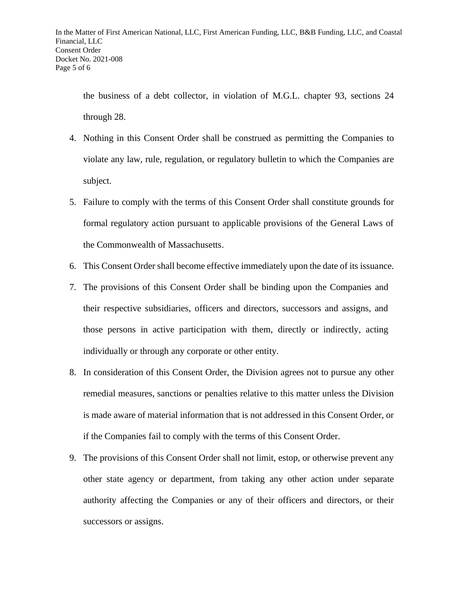the business of a debt collector, in violation of M.G.L. chapter 93, sections 24 through 28.

- 4. Nothing in this Consent Order shall be construed as permitting the Companies to violate any law, rule, regulation, or regulatory bulletin to which the Companies are subject.
- 5. Failure to comply with the terms of this Consent Order shall constitute grounds for formal regulatory action pursuant to applicable provisions of the General Laws of the Commonwealth of Massachusetts.
- 6. This Consent Order shall become effective immediately upon the date of its issuance.
- 7. The provisions of this Consent Order shall be binding upon the Companies and their respective subsidiaries, officers and directors, successors and assigns, and those persons in active participation with them, directly or indirectly, acting individually or through any corporate or other entity.
- 8. In consideration of this Consent Order, the Division agrees not to pursue any other remedial measures, sanctions or penalties relative to this matter unless the Division is made aware of material information that is not addressed in this Consent Order, or if the Companies fail to comply with the terms of this Consent Order.
- 9. The provisions of this Consent Order shall not limit, estop, or otherwise prevent any other state agency or department, from taking any other action under separate authority affecting the Companies or any of their officers and directors, or their successors or assigns.